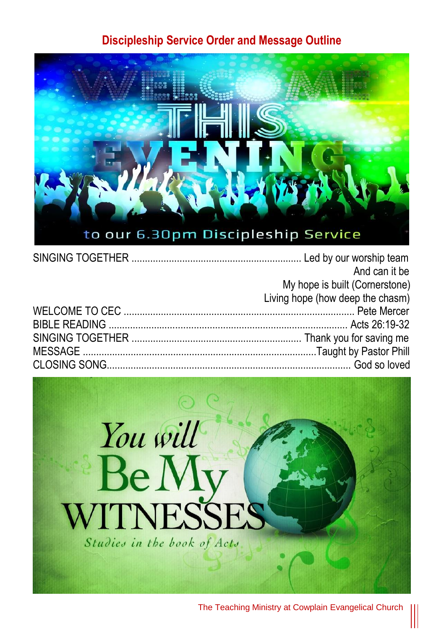#### **Discipleship Service Order and Message Outline**



| And can it be                    |
|----------------------------------|
| My hope is built (Cornerstone)   |
| Living hope (how deep the chasm) |
|                                  |
|                                  |
|                                  |
|                                  |
|                                  |

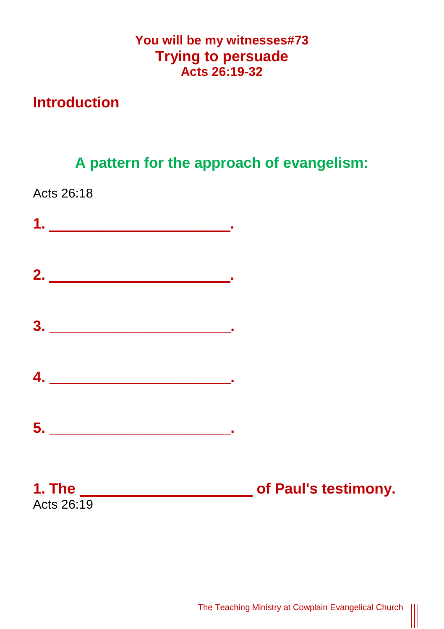### **You will be my witnesses#73 Trying to persuade Acts 26:19-32**

## **Introduction**

**A pattern for the approach of evangelism:**

Acts 26:18



 $\begin{tabular}{|c|c|} \hline \rule{.8cm}{.4cm} \rule{.8cm}{.4cm} \rule{.8cm}{.4cm} \rule{.8cm}{.4cm} \rule{.8cm}{.4cm} \rule{.8cm}{.4cm} \rule{.8cm}{.4cm} \rule{.8cm}{.4cm} \rule{.8cm}{.4cm} \rule{.8cm}{.4cm} \rule{.8cm}{.4cm} \rule{.8cm}{.4cm} \rule{.8cm}{.4cm} \rule{.8cm}{.4cm} \rule{.8cm}{.4cm} \rule{.8cm}{.4cm} \rule{.8cm}{.4cm} \rule{.8cm}{.4cm} \rule{.8cm}{$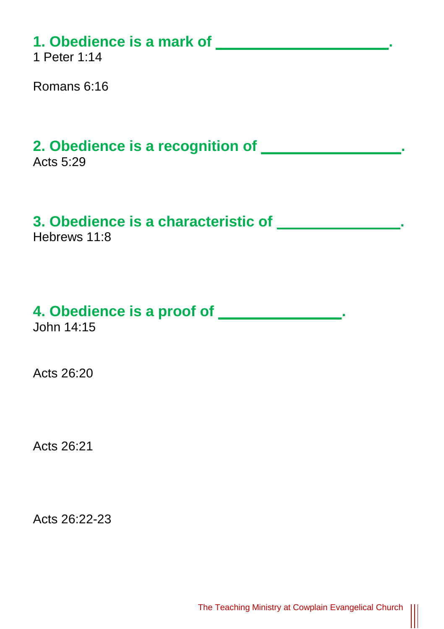# **1. Obedience is a mark of \_\_\_\_\_\_\_\_\_\_\_\_\_\_\_\_\_\_\_\_\_.**

1 Peter 1:14

Romans 6:16

# **2. Obedience is a recognition of \_\_\_\_\_\_\_\_\_\_\_\_\_\_\_\_\_.**

Acts 5:29

### **3. Obedience is a characteristic of \_\_\_\_\_\_\_\_\_\_\_\_\_\_\_.**

Hebrews 11:8

# **4. Obedience is a proof of \_\_\_\_\_\_\_\_\_\_\_\_\_\_\_.**

John 14:15

Acts 26:20

Acts 26:21

Acts 26:22-23